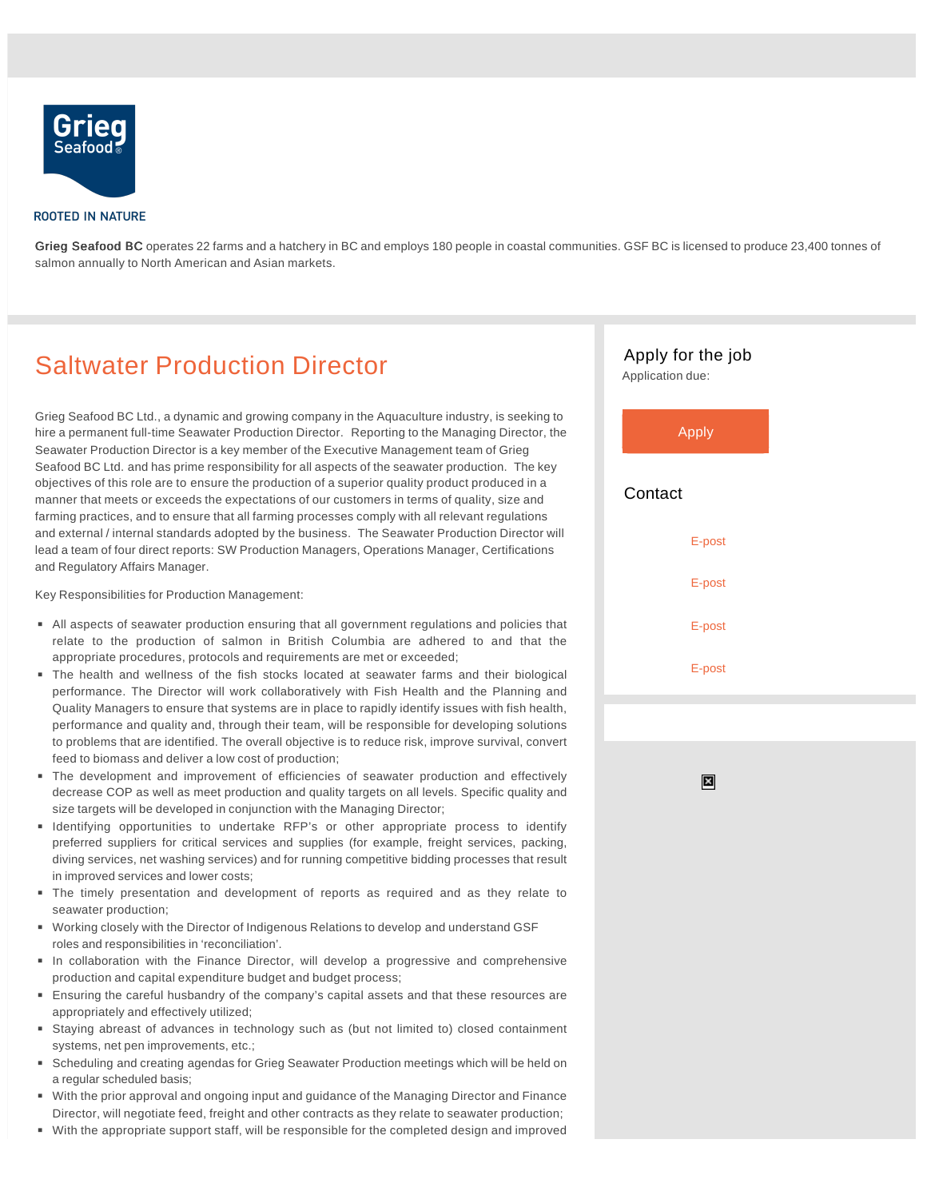

## **ROOTED IN NATURE**

Grieg Seafood BC operates 22 farms and a hatchery in BC and employs 180 people in coastal communities. GSF BC is licensed to produce 23,400 tonnes of salmon annually to North American and Asian markets.

## Saltwater Production Director

Grieg Seafood BC Ltd., a dynamic and growing company in the Aquaculture industry, is seeking to hire a permanent full-time Seawater Production Director. Reporting to the Managing Director, the Seawater Production Director is a key member of the Executive Management team of Grieg Seafood BC Ltd. and has prime responsibility for all aspects of the seawater production. The key objectives of this role are to ensure the production of a superior quality product produced in a manner that meets or exceeds the expectations of our customers in terms of quality, size and farming practices, and to ensure that all farming processes comply with all relevant regulations and external / internal standards adopted by the business. The Seawater Production Director will lead a team of four direct reports: SW Production Managers, Operations Manager, Certifications and Regulatory Affairs Manager.

Key Responsibilities for Production Management:

- All aspects of seawater production ensuring that all government regulations and policies that relate to the production of salmon in British Columbia are adhered to and that the appropriate procedures, protocols and requirements are met or exceeded;
- The health and wellness of the fish stocks located at seawater farms and their biological performance. The Director will work collaboratively with Fish Health and the Planning and Quality Managers to ensure that systems are in place to rapidly identify issues with fish health, performance and quality and, through their team, will be responsible for developing solutions to problems that are identified. The overall objective is to reduce risk, improve survival, convert feed to biomass and deliver a low cost of production;
- The development and improvement of efficiencies of seawater production and effectively decrease COP as well as meet production and quality targets on all levels. Specific quality and size targets will be developed in conjunction with the Managing Director;
- **Identifying opportunities to undertake RFP's or other appropriate process to identify** preferred suppliers for critical services and supplies (for example, freight services, packing, diving services, net washing services) and for running competitive bidding processes that result in improved services and lower costs;
- The timely presentation and development of reports as required and as they relate to seawater production;
- Working closely with the Director of Indigenous Relations to develop and understand GSF roles and responsibilities in 'reconciliation'.
- In collaboration with the Finance Director, will develop a progressive and comprehensive production and capital expenditure budget and budget process;
- Ensuring the careful husbandry of the company's capital assets and that these resources are appropriately and effectively utilized;
- Staying abreast of advances in technology such as (but not limited to) closed containment systems, net pen improvements, etc.;
- Scheduling and creating agendas for Grieg Seawater Production meetings which will be held on a regular scheduled basis;
- With the prior approval and ongoing input and guidance of the Managing Director and Finance Director, will negotiate feed, freight and other contracts as they relate to seawater production;
- With the appropriate support staff, will be responsible for the completed design and improved



 $\boldsymbol{\mathsf{x}}$